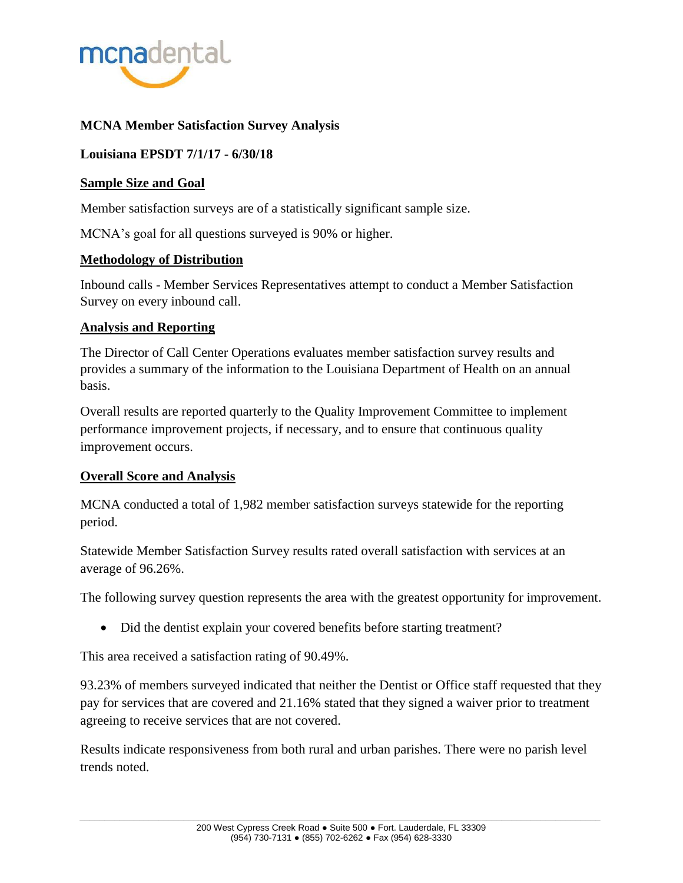

# **MCNA Member Satisfaction Survey Analysis**

# **Louisiana EPSDT 7/1/17 - 6/30/18**

# **Sample Size and Goal**

Member satisfaction surveys are of a statistically significant sample size.

MCNA's goal for all questions surveyed is 90% or higher.

## **Methodology of Distribution**

Inbound calls - Member Services Representatives attempt to conduct a Member Satisfaction Survey on every inbound call.

## **Analysis and Reporting**

The Director of Call Center Operations evaluates member satisfaction survey results and provides a summary of the information to the Louisiana Department of Health on an annual basis.

Overall results are reported quarterly to the Quality Improvement Committee to implement performance improvement projects, if necessary, and to ensure that continuous quality improvement occurs.

## **Overall Score and Analysis**

MCNA conducted a total of 1,982 member satisfaction surveys statewide for the reporting period.

Statewide Member Satisfaction Survey results rated overall satisfaction with services at an average of 96.26%.

The following survey question represents the area with the greatest opportunity for improvement.

• Did the dentist explain your covered benefits before starting treatment?

This area received a satisfaction rating of 90.49%.

93.23% of members surveyed indicated that neither the Dentist or Office staff requested that they pay for services that are covered and 21.16% stated that they signed a waiver prior to treatment agreeing to receive services that are not covered.

Results indicate responsiveness from both rural and urban parishes. There were no parish level trends noted.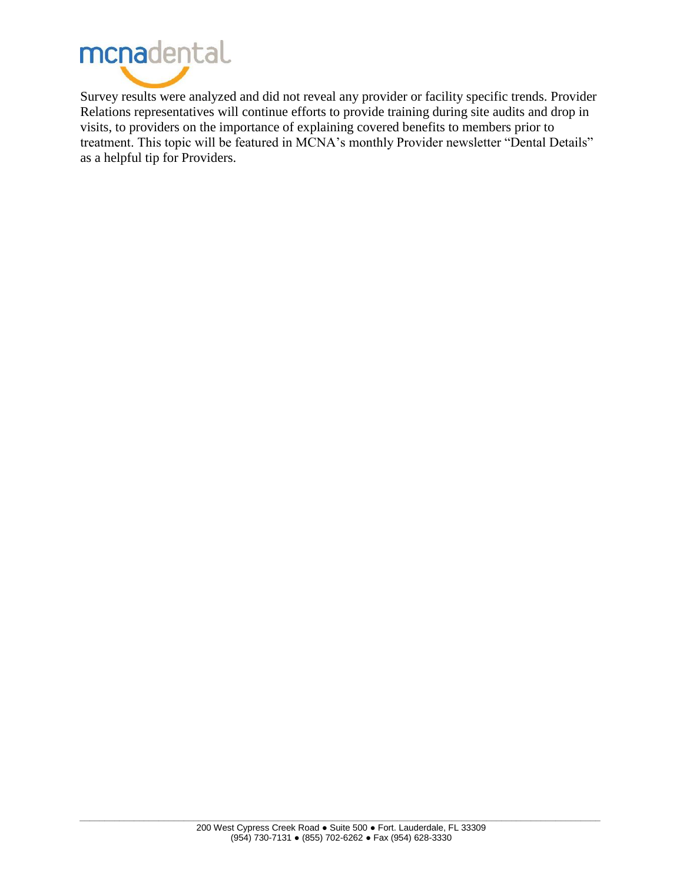

Survey results were analyzed and did not reveal any provider or facility specific trends. Provider Relations representatives will continue efforts to provide training during site audits and drop in visits, to providers on the importance of explaining covered benefits to members prior to treatment. This topic will be featured in MCNA's monthly Provider newsletter "Dental Details" as a helpful tip for Providers.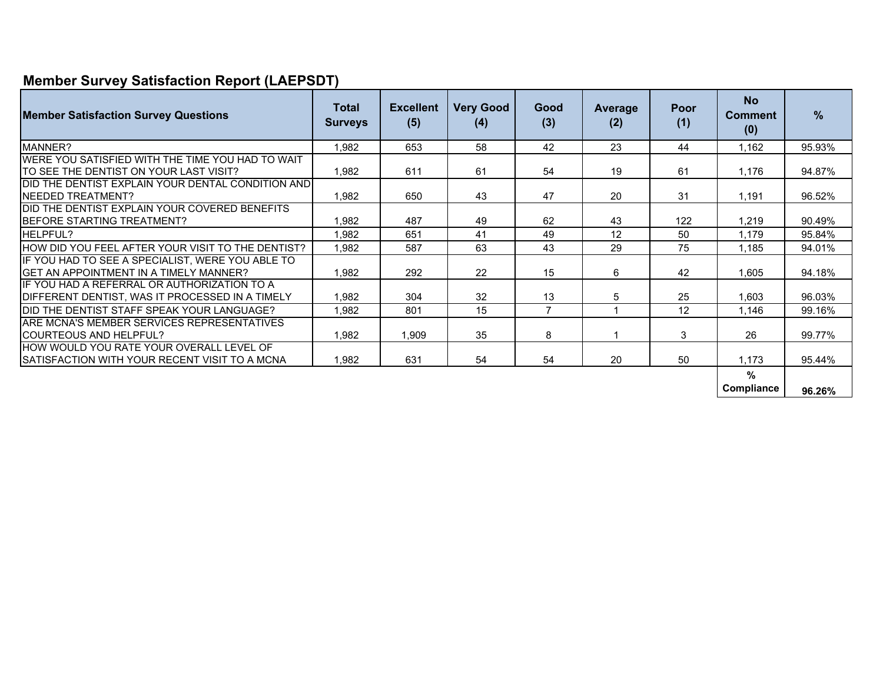# **Member Survey Satisfaction Report (LAEPSDT)**

| <b>Member Satisfaction Survey Questions</b>                                                       | <b>Total</b><br><b>Surveys</b> | <b>Excellent</b><br>(5) | <b>Very Good</b><br>(4) | Good<br>(3)    | Average<br>(2) | Poor<br>(1) | <b>No</b><br><b>Comment</b><br>(0) | $\%$   |
|---------------------------------------------------------------------------------------------------|--------------------------------|-------------------------|-------------------------|----------------|----------------|-------------|------------------------------------|--------|
| MANNER?                                                                                           | 1.982                          | 653                     | 58                      | 42             | 23             | 44          | 1.162                              | 95.93% |
| WERE YOU SATISFIED WITH THE TIME YOU HAD TO WAIT                                                  |                                |                         |                         |                |                |             |                                    |        |
| TO SEE THE DENTIST ON YOUR LAST VISIT?                                                            | 1,982                          | 611                     | 61                      | 54             | 19             | 61          | 1,176                              | 94.87% |
| DID THE DENTIST EXPLAIN YOUR DENTAL CONDITION AND                                                 |                                |                         |                         |                |                |             |                                    |        |
| <b>INEEDED TREATMENT?</b>                                                                         | 1,982                          | 650                     | 43                      | 47             | 20             | 31          | 1,191                              | 96.52% |
| DID THE DENTIST EXPLAIN YOUR COVERED BENEFITS                                                     |                                |                         |                         |                |                |             |                                    |        |
| BEFORE STARTING TREATMENT?                                                                        | 1,982                          | 487                     | 49                      | 62             | 43             | 122         | 1.219                              | 90.49% |
| HELPFUL?                                                                                          | 1.982                          | 651                     | 41                      | 49             | 12             | 50          | 1.179                              | 95.84% |
| HOW DID YOU FEEL AFTER YOUR VISIT TO THE DENTIST?                                                 | 1,982                          | 587                     | 63                      | 43             | 29             | 75          | 1,185                              | 94.01% |
| IF YOU HAD TO SEE A SPECIALIST, WERE YOU ABLE TO<br><b>GET AN APPOINTMENT IN A TIMELY MANNER?</b> | 1,982                          | 292                     | 22                      | 15             | 6              | 42          | 1,605                              | 94.18% |
| IF YOU HAD A REFERRAL OR AUTHORIZATION TO A                                                       |                                |                         |                         |                |                |             |                                    |        |
| DIFFERENT DENTIST, WAS IT PROCESSED IN A TIMELY                                                   | 1,982                          | 304                     | 32                      | 13             | 5              | 25          | 1.603                              | 96.03% |
| DID THE DENTIST STAFF SPEAK YOUR LANGUAGE?                                                        | 1.982                          | 801                     | 15                      | $\overline{7}$ | 1              | 12          | 1.146                              | 99.16% |
| ARE MCNA'S MEMBER SERVICES REPRESENTATIVES                                                        |                                |                         |                         |                |                |             |                                    |        |
| <b>COURTEOUS AND HELPFUL?</b>                                                                     | 1,982                          | 1,909                   | 35                      | 8              |                | 3           | 26                                 | 99.77% |
| HOW WOULD YOU RATE YOUR OVERALL LEVEL OF                                                          |                                |                         |                         |                |                |             |                                    |        |
| SATISFACTION WITH YOUR RECENT VISIT TO A MCNA                                                     | 1,982                          | 631                     | 54                      | 54             | 20             | 50          | 1.173                              | 95.44% |
|                                                                                                   |                                |                         |                         |                |                |             | %<br>Compliance                    | 96.26% |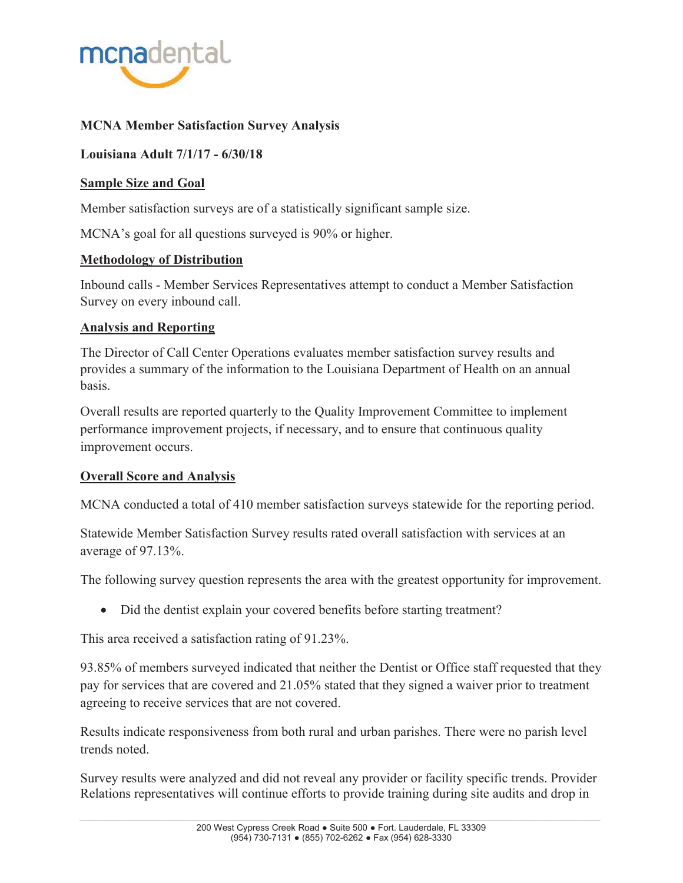

# **MCNA Member Satisfaction Survey Analysis**

**Louisiana Adult 7/1/17 - 6/30/18** 

# **Sample Size and Goal**

Member satisfaction surveys are of a statistically significant sample size.

MCNA's goal for all questions surveyed is 90% or higher.

# **Methodology of Distribution**

Inbound calls - Member Services Representatives attempt to conduct a Member Satisfaction Survey on every inbound call.

# **Analysis and Reporting**

The Director of Call Center Operations evaluates member satisfaction survey results and provides a summary of the information to the Louisiana Department of Health on an annual basis.

Overall results are reported quarterly to the Quality Improvement Committee to implement performance improvement projects, if necessary, and to ensure that continuous quality improvement occurs.

# **Overall Score and Analysis**

MCNA conducted a total of 410 member satisfaction surveys statewide for the reporting period.

Statewide Member Satisfaction Survey results rated overall satisfaction with services at an average of 97.13%.

The following survey question represents the area with the greatest opportunity for improvement.

• Did the dentist explain your covered benefits before starting treatment?

This area received a satisfaction rating of 91.23%.

93.85% of members surveyed indicated that neither the Dentist or Office staff requested that they pay for services that are covered and 21.05% stated that they signed a waiver prior to treatment agreeing to receive services that are not covered.

Results indicate responsiveness from both rural and urban parishes. There were no parish level trends noted.

Survey results were analyzed and did not reveal any provider or facility specific trends. Provider Relations representatives will continue efforts to provide training during site audits and drop in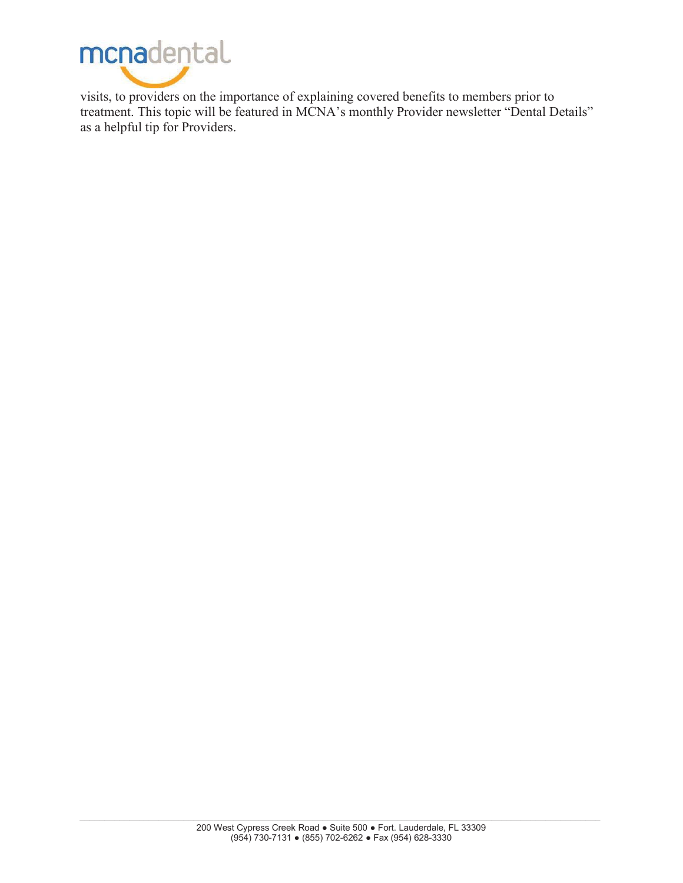

visits, to providers on the importance of explaining covered benefits to members prior to treatment. This topic will be featured in MCNA's monthly Provider newsletter "Dental Details" as a helpful tip for Providers.